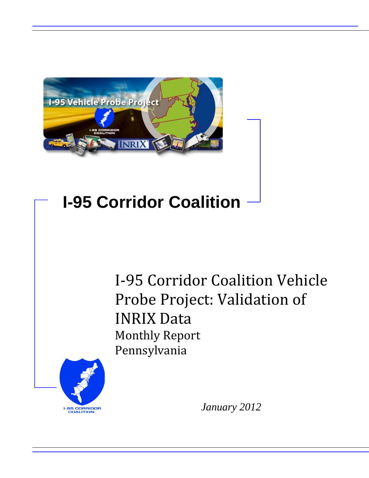

## **I-95 Corridor Coalition**

I-95 Corridor Coalition Vehicle Probe Project: Validation of INRIX Data Monthly Report Pennsylvania



*January 2012*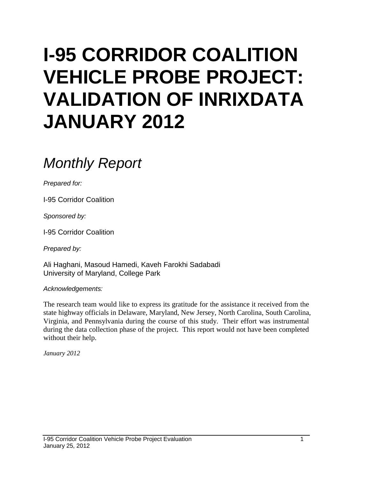# **I-95 CORRIDOR COALITION VEHICLE PROBE PROJECT: VALIDATION OF INRIXDATA JANUARY 2012**

## *Monthly Report*

*Prepared for:*

I-95 Corridor Coalition

*Sponsored by:*

I-95 Corridor Coalition

*Prepared by:*

Ali Haghani, Masoud Hamedi, Kaveh Farokhi Sadabadi University of Maryland, College Park

*Acknowledgements:*

The research team would like to express its gratitude for the assistance it received from the state highway officials in Delaware, Maryland, New Jersey, North Carolina, South Carolina, Virginia, and Pennsylvania during the course of this study. Their effort was instrumental during the data collection phase of the project. This report would not have been completed without their help.

*January 2012*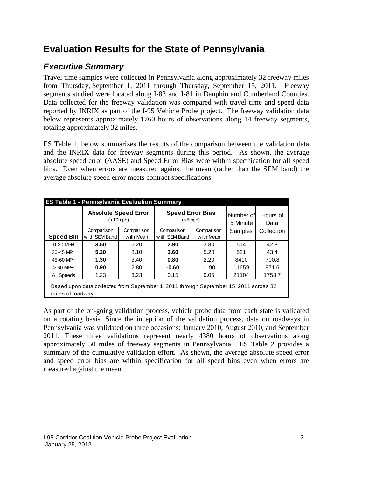## **Evaluation Results for the State of Pennsylvania**

## *Executive Summary*

Travel time samples were collected in Pennsylvania along approximately 32 freeway miles from Thursday, September 1, 2011 through Thursday, September 15, 2011. Freeway segments studied were located along I-83 and I-81 in Dauphin and Cumberland Counties. Data collected for the freeway validation was compared with travel time and speed data reported by INRIX as part of the I-95 Vehicle Probe project. The freeway validation data below represents approximately 1760 hours of observations along 14 freeway segments, totaling approximately 32 miles.

ES Table 1, below summarizes the results of the comparison between the validation data and the INRIX data for freeway segments during this period. As shown, the average absolute speed error (AASE) and Speed Error Bias were within specification for all speed bins. Even when errors are measured against the mean (rather than the SEM band) the average absolute speed error meets contract specifications.

|                  | <b>Absolute Speed Error</b><br>(<10 mph)                                                                   |            | <b>Speed Error Bias</b><br>$(<5$ mph $)$ |            | Number of<br>5 Minute | Hours of<br>Data |  |  |  |
|------------------|------------------------------------------------------------------------------------------------------------|------------|------------------------------------------|------------|-----------------------|------------------|--|--|--|
|                  | Comparison                                                                                                 | Comparison | Comparison<br>Comparison                 |            | Samples               | Collection       |  |  |  |
| <b>Speed Bin</b> | with SEM Band                                                                                              | w ith Mean | w ith SEM Band                           | w ith Mean |                       |                  |  |  |  |
| 0-30 MPH         | 3.50                                                                                                       | 5.20       | 2.90                                     | 3.80       | 514                   | 42.8             |  |  |  |
| 30-45 MPH        | 5.20                                                                                                       | 8.10       | 3.60                                     | 5.20       | 521                   | 43.4             |  |  |  |
| 45-60 MPH        | 1.30                                                                                                       | 3.40       | 0.80                                     | 2.20       | 8410                  | 700.8            |  |  |  |
| $>60$ MPH        | 0.90                                                                                                       | 2.80       | $-0.60$                                  | $-1.90$    | 11659                 | 971.6            |  |  |  |
| All Speeds       | 1.23                                                                                                       | 3.23       | 0.15                                     | 0.05       | 21104                 | 1758.7           |  |  |  |
|                  | Based upon data collected from September 1, 2011 through September 15, 2011 across 32<br>miles of roadway. |            |                                          |            |                       |                  |  |  |  |

As part of the on-going validation process, vehicle probe data from each state is validated on a rotating basis. Since the inception of the validation process, data on roadways in Pennsylvania was validated on three occasions: January 2010, August 2010, and September 2011. These three validations represent nearly 4380 hours of observations along approximately 50 miles of freeway segments in Pennsylvania. ES Table 2 provides a summary of the cumulative validation effort. As shown, the average absolute speed error and speed error bias are within specification for all speed bins even when errors are measured against the mean.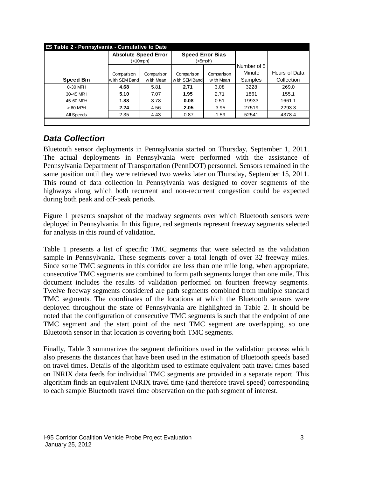| <b>ES Table 2 - Pennsylvania - Cumulative to Date</b> |               |                             |                         |            |             |               |
|-------------------------------------------------------|---------------|-----------------------------|-------------------------|------------|-------------|---------------|
|                                                       |               | <b>Absolute Speed Error</b> | <b>Speed Error Bias</b> |            |             |               |
|                                                       |               | $(<10$ mph $)$              | (<5mph)                 |            | Number of 5 |               |
|                                                       |               |                             |                         |            |             |               |
|                                                       | Comparison    | Comparison                  | Comparison              | Comparison | Minute      | Hours of Data |
| <b>Speed Bin</b>                                      | with SEM Band | w ith Mean                  | w ith SEM Band          | w ith Mean | Samples     | Collection    |
| 0-30 MPH                                              | 4.68          | 5.81                        | 2.71                    | 3.08       | 3228        | 269.0         |
| 30-45 MPH                                             | 5.10          | 7.07                        | 1.95                    | 2.71       | 1861        | 155.1         |
| 45-60 MPH                                             | 1.88          | 3.78                        | $-0.08$                 | 0.51       | 19933       | 1661.1        |
| $>60$ MPH                                             | 2.24          | 4.56                        | $-2.05$                 | $-3.95$    | 27519       | 2293.3        |
| All Speeds                                            | 2.35          | 4.43                        | $-0.87$                 | $-1.59$    | 52541       | 4378.4        |
|                                                       |               |                             |                         |            |             |               |

## *Data Collection*

Bluetooth sensor deployments in Pennsylvania started on Thursday, September 1, 2011. The actual deployments in Pennsylvania were performed with the assistance of Pennsylvania Department of Transportation (PennDOT) personnel. Sensors remained in the same position until they were retrieved two weeks later on Thursday, September 15, 2011. This round of data collection in Pennsylvania was designed to cover segments of the highways along which both recurrent and non-recurrent congestion could be expected during both peak and off-peak periods.

Figure 1 presents snapshot of the roadway segments over which Bluetooth sensors were deployed in Pennsylvania. In this figure, red segments represent freeway segments selected for analysis in this round of validation.

Table 1 presents a list of specific TMC segments that were selected as the validation sample in Pennsylvania. These segments cover a total length of over 32 freeway miles. Since some TMC segments in this corridor are less than one mile long, when appropriate, consecutive TMC segments are combined to form path segments longer than one mile. This document includes the results of validation performed on fourteen freeway segments. Twelve freeway segments considered are path segments combined from multiple standard TMC segments. The coordinates of the locations at which the Bluetooth sensors were deployed throughout the state of Pennsylvania are highlighted in Table 2. It should be noted that the configuration of consecutive TMC segments is such that the endpoint of one TMC segment and the start point of the next TMC segment are overlapping, so one Bluetooth sensor in that location is covering both TMC segments.

Finally, Table 3 summarizes the segment definitions used in the validation process which also presents the distances that have been used in the estimation of Bluetooth speeds based on travel times. Details of the algorithm used to estimate equivalent path travel times based on INRIX data feeds for individual TMC segments are provided in a separate report. This algorithm finds an equivalent INRIX travel time (and therefore travel speed) corresponding to each sample Bluetooth travel time observation on the path segment of interest.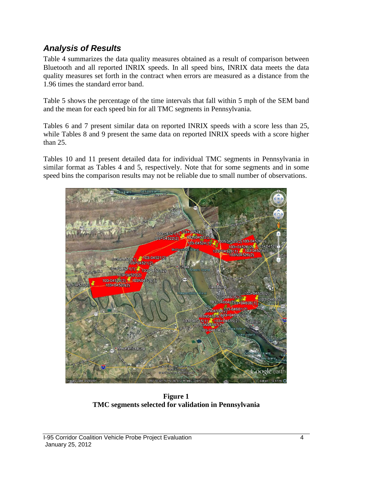### *Analysis of Results*

Table 4 summarizes the data quality measures obtained as a result of comparison between Bluetooth and all reported INRIX speeds. In all speed bins, INRIX data meets the data quality measures set forth in the contract when errors are measured as a distance from the 1.96 times the standard error band.

Table 5 shows the percentage of the time intervals that fall within 5 mph of the SEM band and the mean for each speed bin for all TMC segments in Pennsylvania.

Tables 6 and 7 present similar data on reported INRIX speeds with a score less than 25, while Tables 8 and 9 present the same data on reported INRIX speeds with a score higher than 25.

Tables 10 and 11 present detailed data for individual TMC segments in Pennsylvania in similar format as Tables 4 and 5, respectively. Note that for some segments and in some speed bins the comparison results may not be reliable due to small number of observations.



**Figure 1 TMC segments selected for validation in Pennsylvania**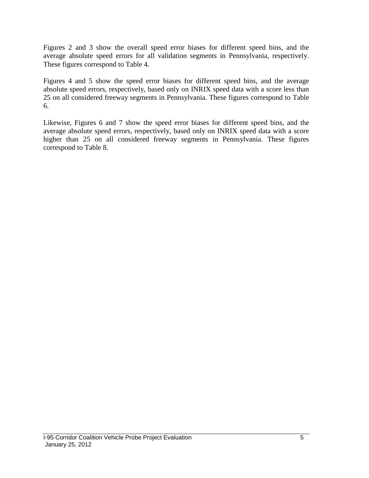Figures 2 and 3 show the overall speed error biases for different speed bins, and the average absolute speed errors for all validation segments in Pennsylvania, respectively. These figures correspond to Table 4.

Figures 4 and 5 show the speed error biases for different speed bins, and the average absolute speed errors, respectively, based only on INRIX speed data with a score less than 25 on all considered freeway segments in Pennsylvania. These figures correspond to Table 6.

Likewise, Figures 6 and 7 show the speed error biases for different speed bins, and the average absolute speed errors, respectively, based only on INRIX speed data with a score higher than 25 on all considered freeway segments in Pennsylvania. These figures correspond to Table 8.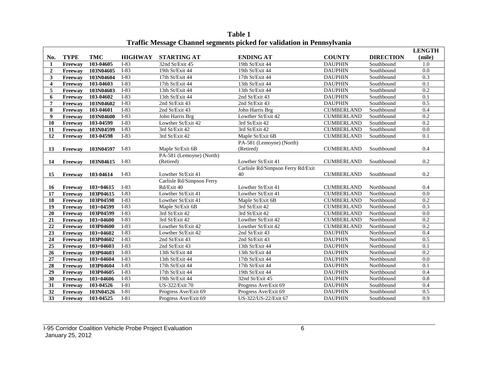|                         |             |               |                |                           |                                   |                   |                  | <b>LENGTH</b>    |
|-------------------------|-------------|---------------|----------------|---------------------------|-----------------------------------|-------------------|------------------|------------------|
| No.                     | <b>TYPE</b> | TMC           | <b>HIGHWAY</b> | <b>STARTING AT</b>        | <b>ENDING AT</b>                  | <b>COUNTY</b>     | <b>DIRECTION</b> | (mile)           |
| $\mathbf{1}$            | Freeway     | 103-04605     | $I-83$         | 32nd St/Exit 45           | 19th St/Exit 44                   | <b>DAUPHIN</b>    | Southbound       | 1.0              |
| $\overline{2}$          | Freeway     | 103N04605     | $I-83$         | 19th St/Exit 44           | 19th St/Exit 44                   | <b>DAUPHIN</b>    | Southbound       | $\overline{0.0}$ |
| 3                       | Freeway     | 103N04604     | $I-83$         | 17th St/Exit 44           | 17th St/Exit 44                   | <b>DAUPHIN</b>    | Southbound       | 0.3              |
| $\overline{\mathbf{4}}$ | Freeway     | 103-04603     | I-83           | 17th St/Exit 44           | 13th St/Exit 44                   | <b>DAUPHIN</b>    | Southbound       | 0.1              |
| 5                       | Freeway     | 103N04603     | I-83           | 13th St/Exit 44           | 13th St/Exit 44                   | <b>DAUPHIN</b>    | Southbound       | 0.2              |
| 6                       | Freeway     | 103-04602     | $I-83$         | 13th St/Exit 44           | 2nd St/Exit 43                    | <b>DAUPHIN</b>    | Southbound       | 0.1              |
| $\overline{7}$          | Freeway     | 103N04602     | $I-83$         | 2nd St/Exit 43            | 2nd St/Exit 43                    | <b>DAUPHIN</b>    | Southbound       | 0.5              |
| 8                       | Freeway     | 103-04601     | $I-83$         | 2nd St/Exit 43            | John Harris Brg                   | <b>CUMBERLAND</b> | Southbound       | 0.4              |
| $\boldsymbol{9}$        | Freeway     | 103N04600     | $I-83$         | John Harris Brg           | Lowther St/Exit 42                | <b>CUMBERLAND</b> | Southbound       | $\overline{0.2}$ |
| <b>10</b>               | Freeway     | 103-04599     | $I-83$         | Lowther St/Exit 42        | 3rd St/Exit 42                    | <b>CUMBERLAND</b> | Southbound       | $\overline{0.2}$ |
| 11                      | Freeway     | 103N04599     | $I-83$         | 3rd St/Exit 42            | 3rd St/Exit 42                    | <b>CUMBERLAND</b> | Southbound       | 0.0              |
| 12                      | Freeway     | 103-04598     | $I-83$         | 3rd St/Exit 42            | Maple St/Exit 6B                  | <b>CUMBERLAND</b> | Southbound       | 0.1              |
|                         |             |               |                |                           | PA-581 (Lemoyne) (North)          |                   |                  |                  |
| 13                      | Freeway     | 103N04597     | $I-83$         | Maple St/Exit 6B          | (Retired)                         | <b>CUMBERLAND</b> | Southbound       | 0.4              |
|                         |             |               |                | PA-581 (Lemoyne) (North)  |                                   |                   |                  |                  |
| 14                      | Freeway     | 103N04615     | $I-83$         | (Retired)                 | Lowther St/Exit 41                | <b>CUMBERLAND</b> | Southbound       | 0.2              |
|                         |             |               |                |                           | Carlisle Rd/Simpson Ferry Rd/Exit |                   |                  |                  |
| 15                      | Freeway     | 103-04614     | $I-83$         | Lowther St/Exit 41        | 40                                | <b>CUMBERLAND</b> | Southbound       | 0.2              |
|                         |             |               |                | Carlisle Rd/Simpson Ferry |                                   |                   |                  |                  |
| 16                      | Freeway     | $103 + 04615$ | $I-83$         | Rd/Exit 40                | Lowther St/Exit 41                | <b>CUMBERLAND</b> | Northbound       | 0.4              |
| 17                      | Freeway     | 103P04615     | $I-83$         | Lowther St/Exit 41        | Lowther St/Exit 41                | <b>CUMBERLAND</b> | Northbound       | $\overline{0.0}$ |
| 18                      | Freeway     | 103P04598     | $I-83$         | Lowther St/Exit 41        | Maple St/Exit 6B                  | <b>CUMBERLAND</b> | Northbound       | 0.2              |
| 19                      | Freeway     | $103 + 04599$ | $I-83$         | Maple St/Exit 6B          | 3rd St/Exit 42                    | <b>CUMBERLAND</b> | Northbound       | 0.3              |
| 20                      | Freeway     | 103P04599     | $I-83$         | 3rd St/Exit 42            | 3rd St/Exit 42                    | <b>CUMBERLAND</b> | Northbound       | $\overline{0.0}$ |
| 21                      | Freeway     | $103 + 04600$ | $I-83$         | 3rd St/Exit 42            | Lowther St/Exit 42                | <b>CUMBERLAND</b> | Northbound       | 0.2              |
| 22                      | Freeway     | 103P04600     | $I-83$         | Lowther St/Exit 42        | Lowther St/Exit 42                | <b>CUMBERLAND</b> | Northbound       | 0.2              |
| 23                      | Freeway     | $103+04602$   | $I-83$         | Lowther St/Exit 42        | 2nd St/Exit 43                    | <b>DAUPHIN</b>    | Northbound       | 0.4              |
| 24                      | Freeway     | 103P04602     | $I-83$         | 2nd St/Exit 43            | 2nd St/Exit 43                    | <b>DAUPHIN</b>    | Northbound       | 0.5              |
| 25                      | Freeway     | $103 + 04603$ | $I-83$         | 2nd St/Exit 43            | 13th St/Exit 44                   | <b>DAUPHIN</b>    | Northbound       | 0.1              |
| $\overline{26}$         | Freeway     | 103P04603     | $I-83$         | 13th St/Exit 44           | 13th St/Exit 44                   | <b>DAUPHIN</b>    | Northbound       | 0.2              |
| 27                      | Freeway     | $103 + 04604$ | I-83           | 13th St/Exit 44           | 17th St/Exit 44                   | <b>DAUPHIN</b>    | Northbound       | 0.0              |
| 28                      | Freeway     | 103P04604     | I-83           | 17th St/Exit 44           | 17th St/Exit 44                   | <b>DAUPHIN</b>    | Northbound       | 0.1              |
| 29                      | Freeway     | 103P04605     | $I-83$         | 17th St/Exit 44           | 19th St/Exit 44                   | <b>DAUPHIN</b>    | Northbound       | 0.4              |
| 30                      | Freeway     | $103 + 04606$ | I-83           | 19th St/Exit 44           | 32nd St/Exit 45                   | <b>DAUPHIN</b>    | Northbound       | 0.8              |
| 31                      | Freeway     | 103-04526     | $I-81$         | US-322/Exit 70            | Progress Ave/Exit 69              | <b>DAUPHIN</b>    | Southbound       | 0.4              |
| 32                      | Freeway     | 103N04526     | $I-81$         | Progress Ave/Exit 69      | Progress Ave/Exit 69              | <b>DAUPHIN</b>    | Southbound       | 0.5              |
| 33                      | Freeway     | 103-04525     | $I-81$         | Progress Ave/Exit 69      | US-322/US-22/Exit 67              | <b>DAUPHIN</b>    | Southbound       | 0.9              |

**Table 1 Traffic Message Channel segments picked for validation in Pennsylvania**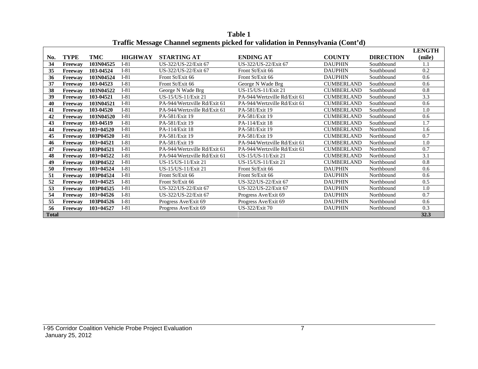|              |             |               |                | o<br>o                       |                              |                   |                  | <b>LENGTH</b> |
|--------------|-------------|---------------|----------------|------------------------------|------------------------------|-------------------|------------------|---------------|
| No.          | <b>TYPE</b> | TMC           | <b>HIGHWAY</b> | <b>STARTING AT</b>           | <b>ENDING AT</b>             | <b>COUNTY</b>     | <b>DIRECTION</b> | (mile)        |
| 34           | Freeway     | 103N04525     | $I-81$         | US-322/US-22/Exit 67         | US-322/US-22/Exit 67         | <b>DAUPHIN</b>    | Southbound       | 1.1           |
| 35           | Freeway     | 103-04524     | $I-81$         | US-322/US-22/Exit 67         | Front St/Exit 66             | <b>DAUPHIN</b>    | Southbound       | 0.2           |
| 36           | Freeway     | 103N04524     | $I-81$         | Front St/Exit 66             | Front St/Exit 66             | <b>DAUPHIN</b>    | Southbound       | 0.6           |
| 37           | Freeway     | 103-04523     | $I-81$         | Front St/Exit 66             | George N Wade Brg            | <b>CUMBERLAND</b> | Southbound       | 0.6           |
| 38           | Freeway     | 103N04522     | $I-81$         | George N Wade Brg            | US-15/US-11/Exit 21          | <b>CUMBERLAND</b> | Southbound       | 0.8           |
| 39           | Freeway     | 103-04521     | $I-81$         | US-15/US-11/Exit 21          | PA-944/Wertzville Rd/Exit 61 | <b>CUMBERLAND</b> | Southbound       | 3.3           |
| 40           | Freeway     | 103N04521     | $I-81$         | PA-944/Wertzville Rd/Exit 61 | PA-944/Wertzville Rd/Exit 61 | <b>CUMBERLAND</b> | Southbound       | 0.6           |
| 41           | Freeway     | 103-04520     | $I-81$         | PA-944/Wertzville Rd/Exit 61 | PA-581/Exit 19               | <b>CUMBERLAND</b> | Southbound       | 1.0           |
| 42           | Freeway     | 103N04520     | $I-81$         | PA-581/Exit 19               | PA-581/Exit 19               | <b>CUMBERLAND</b> | Southbound       | 0.6           |
| 43           | Freeway     | 103-04519     | $I-81$         | PA-581/Exit 19               | PA-114/Exit 18               | <b>CUMBERLAND</b> | Southbound       | 1.7           |
| 44           | Freeway     | $103+04520$   | $I-81$         | PA-114/Exit 18               | PA-581/Exit 19               | <b>CUMBERLAND</b> | Northbound       | 1.6           |
| 45           | Freeway     | 103P04520     | $I-81$         | PA-581/Exit 19               | PA-581/Exit 19               | <b>CUMBERLAND</b> | Northbound       | 0.7           |
| 46           | Freeway     | $103 + 04521$ | $I-81$         | PA-581/Exit 19               | PA-944/Wertzville Rd/Exit 61 | <b>CUMBERLAND</b> | Northbound       | 1.0           |
| 47           | Freeway     | 103P04521     | $I-81$         | PA-944/Wertzville Rd/Exit 61 | PA-944/Wertzville Rd/Exit 61 | <b>CUMBERLAND</b> | Northbound       | 0.7           |
| 48           | Freeway     | 103+04522     | $I-81$         | PA-944/Wertzville Rd/Exit 61 | US-15/US-11/Exit 21          | <b>CUMBERLAND</b> | Northbound       | 3.1           |
| 49           | Freeway     | 103P04522     | $I-81$         | US-15/US-11/Exit 21          | US-15/US-11/Exit 21          | <b>CUMBERLAND</b> | Northbound       | 0.8           |
| 50           | Freeway     | $103 + 04524$ | $I-81$         | US-15/US-11/Exit 21          | Front St/Exit 66             | <b>DAUPHIN</b>    | Northbound       | 0.6           |
| 51           | Freeway     | 103P04524     | $I-81$         | Front St/Exit 66             | Front St/Exit 66             | <b>DAUPHIN</b>    | Northbound       | 0.6           |
| 52           | Freeway     | $103 + 04525$ | $I-81$         | Front St/Exit 66             | US-322/US-22/Exit 67         | <b>DAUPHIN</b>    | Northbound       | 0.5           |
| 53           | Freeway     | 103P04525     | $I-81$         | US-322/US-22/Exit 67         | US-322/US-22/Exit 67         | <b>DAUPHIN</b>    | Northbound       | 1.0           |
| 54           | Freeway     | $103 + 04526$ | $I-81$         | US-322/US-22/Exit 67         | Progress Ave/Exit 69         | <b>DAUPHIN</b>    | Northbound       | 0.7           |
| 55           | Freeway     | 103P04526     | $I-81$         | Progress Ave/Exit 69         | Progress Ave/Exit 69         | <b>DAUPHIN</b>    | Northbound       | 0.6           |
| 56           | Freeway     | 103+04527     | $I-81$         | Progress Ave/Exit 69         | US-322/Exit 70               | <b>DAUPHIN</b>    | Northbound       | 0.3           |
| <b>Total</b> |             |               |                |                              |                              |                   |                  | 32.3          |

**Table 1 Traffic Message Channel segments picked for validation in Pennsylvania (Cont'd)**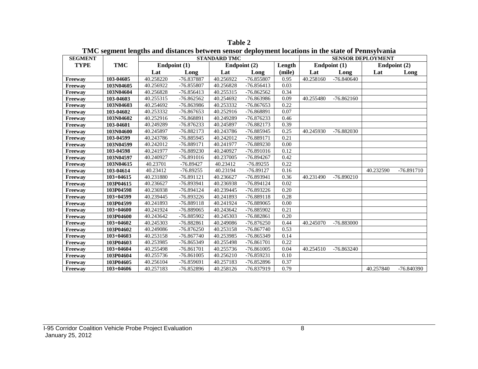| <b>SEGMENT</b> |               |           | Theo beginner rengths why albument been bender weprogramment to current in the burse of a childger unit | <b>STANDARD TMC</b> |              |        |           |                | <b>SENSOR DEPLOYMENT</b> |              |
|----------------|---------------|-----------|---------------------------------------------------------------------------------------------------------|---------------------|--------------|--------|-----------|----------------|--------------------------|--------------|
| <b>TYPE</b>    | <b>TMC</b>    |           | Endpoint $(1)$                                                                                          |                     | Endpoint (2) | Length |           | Endpoint $(1)$ |                          | Endpoint (2) |
|                |               | Lat       | Long                                                                                                    | Lat                 | Long         | (mile) | Lat       | Long           | Lat                      | Long         |
| Freeway        | 103-04605     | 40.258220 | -76.837887                                                                                              | 40.256922           | $-76.855807$ | 0.95   | 40.258160 | -76.840640     |                          |              |
| Freeway        | 103N04605     | 40.256922 | -76.855807                                                                                              | 40.256828           | $-76.856413$ | 0.03   |           |                |                          |              |
| <b>Freeway</b> | 103N04604     | 40.256828 | $-76.856413$                                                                                            | 40.255315           | $-76.862562$ | 0.34   |           |                |                          |              |
| Freeway        | 103-04603     | 40.255315 | $-76.862562$                                                                                            | 40.254692           | -76.863986   | 0.09   | 40.255480 | $-76.862160$   |                          |              |
| Freeway        | 103N04603     | 40.254692 | -76.863986                                                                                              | 40.253332           | $-76.867653$ | 0.22   |           |                |                          |              |
| Freeway        | 103-04602     | 40.253332 | -76.867653                                                                                              | 40.252916           | -76.868891   | 0.07   |           |                |                          |              |
| Freeway        | 103N04602     | 40.252916 | -76.868891                                                                                              | 40.249289           | $-76.876233$ | 0.46   |           |                |                          |              |
| Freeway        | 103-04601     | 40.249289 | $-76.876233$                                                                                            | 40.245897           | $-76.882173$ | 0.39   |           |                |                          |              |
| Freeway        | 103N04600     | 40.245897 | $-76.882173$                                                                                            | 40.243786           | $-76.885945$ | 0.25   | 40.245930 | -76.882030     |                          |              |
| Freeway        | 103-04599     | 40.243786 | -76.885945                                                                                              | 40.242012           | -76.889171   | 0.21   |           |                |                          |              |
| <b>Freeway</b> | 103N04599     | 40.242012 | -76.889171                                                                                              | 40.241977           | -76.889230   | 0.00   |           |                |                          |              |
| Freeway        | 103-04598     | 40.241977 | -76.889230                                                                                              | 40.240927           | -76.891016   | 0.12   |           |                |                          |              |
| Freeway        | 103N04597     | 40.240927 | $-76.891016$                                                                                            | 40.237005           | $-76.894267$ | 0.42   |           |                |                          |              |
| Freeway        | 103N04615     | 40.23701  | $-76.89427$                                                                                             | 40.23412            | $-76.89255$  | 0.22   |           |                |                          |              |
| <b>Freeway</b> | 103-04614     | 40.23412  | $-76.89255$                                                                                             | 40.23194            | $-76.89127$  | 0.16   |           |                | 40.232590                | $-76.891710$ |
| <b>Freeway</b> | $103+04615$   | 40.231880 | -76.891121                                                                                              | 40.236627           | -76.893941   | 0.36   | 40.231490 | $-76.890210$   |                          |              |
| Freeway        | 103P04615     | 40.236627 | -76.893941                                                                                              | 40.236938           | -76.894124   | 0.02   |           |                |                          |              |
| Freeway        | 103P04598     | 40.236938 | -76.894124                                                                                              | 40.239445           | $-76.893226$ | 0.20   |           |                |                          |              |
| Freeway        | $103 + 04599$ | 40.239445 | $-76.893226$                                                                                            | 40.241893           | $-76.889118$ | 0.28   |           |                |                          |              |
| Freeway        | 103P04599     | 40.241893 | -76.889118                                                                                              | 40.241924           | -76.889065   | 0.00   |           |                |                          |              |
| Freeway        | $103+04600$   | 40.241924 | -76.889065                                                                                              | 40.243642           | -76.885902   | 0.21   |           |                |                          |              |
| Freeway        | 103P04600     | 40.243642 | -76.885902                                                                                              | 40.245303           | $-76.882861$ | 0.20   |           |                |                          |              |
| Freeway        | $103+04602$   | 40.245303 | $-76.882861$                                                                                            | 40.249086           | $-76.876250$ | 0.44   | 40.245070 | -76.883000     |                          |              |
| Freeway        | 103P04602     | 40.249086 | $-76.876250$                                                                                            | 40.253158           | $-76.867740$ | 0.53   |           |                |                          |              |
| Freeway        | $103 + 04603$ | 40.253158 | $-76.867740$                                                                                            | 40.253985           | -76.865349   | 0.14   |           |                |                          |              |
| Freeway        | 103P04603     | 40.253985 | -76.865349                                                                                              | 40.255498           | $-76.861701$ | 0.22   |           |                |                          |              |
| Freeway        | $103+04604$   | 40.255498 | $-76.861701$                                                                                            | 40.255736           | $-76.861005$ | 0.04   | 40.254510 | $-76.863240$   |                          |              |
| Freeway        | 103P04604     | 40.255736 | $-76.861005$                                                                                            | 40.256210           | $-76.859231$ | 0.10   |           |                |                          |              |
| Freeway        | 103P04605     | 40.256104 | -76.859691                                                                                              | 40.257183           | -76.852896   | 0.37   |           |                |                          |              |
| Freeway        | $103+04606$   | 40.257183 | $-76.852896$                                                                                            | 40.258126           | -76.837919   | 0.79   |           |                | 40.257840                | -76.840390   |

**Table 2 TMC segment lengths and distances between sensor deployment locations in the state of Pennsylvania**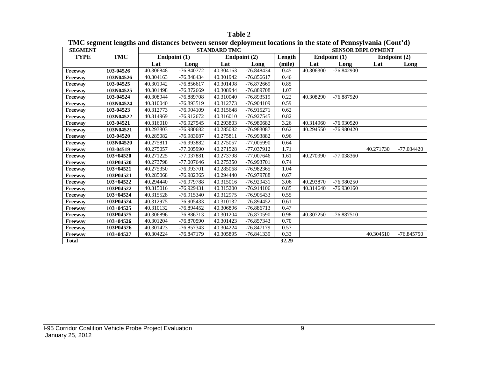| <b>SEGMENT</b> | тіме зедінен тендиіз ана авиансез бетмесін зензот аеріоуністі юсатоніз ін тіс зіате от і співуттанна (Cont a) |           |              | <b>STANDARD TMC</b> |              |        |           |              | <b>SENSOR DEPLOYMENT</b> |              |
|----------------|---------------------------------------------------------------------------------------------------------------|-----------|--------------|---------------------|--------------|--------|-----------|--------------|--------------------------|--------------|
| <b>TYPE</b>    | <b>TMC</b>                                                                                                    |           | Endpoint (1) |                     | Endpoint (2) | Length |           | Endpoint (1) | Endpoint (2)             |              |
|                |                                                                                                               | Lat       | Long         | Lat                 | Long         | (mile) | Lat       | Long         | Lat                      | Long         |
| Freeway        | 103-04526                                                                                                     | 40.306848 | -76.840772   | 40.304163           | -76.848434   | 0.45   | 40.306300 | $-76.842900$ |                          |              |
| Freeway        | 103N04526                                                                                                     | 40.304163 | -76.848434   | 40.301942           | $-76.856617$ | 0.46   |           |              |                          |              |
| Freeway        | 103-04525                                                                                                     | 40.301942 | $-76.856617$ | 40.301498           | -76.872669   | 0.85   |           |              |                          |              |
| Freeway        | 103N04525                                                                                                     | 40.301498 | -76.872669   | 40.308944           | -76.889708   | 1.07   |           |              |                          |              |
| Freeway        | 103-04524                                                                                                     | 40.308944 | -76.889708   | 40.310040           | -76.893519   | 0.22   | 40.308290 | -76.887920   |                          |              |
| Freeway        | 103N04524                                                                                                     | 40.310040 | -76.893519   | 40.312773           | $-76.904109$ | 0.59   |           |              |                          |              |
| Freeway        | 103-04523                                                                                                     | 40.312773 | $-76.904109$ | 40.315648           | $-76.915271$ | 0.62   |           |              |                          |              |
| Freeway        | 103N04522                                                                                                     | 40.314969 | $-76.912672$ | 40.316010           | -76.927545   | 0.82   |           |              |                          |              |
| Freeway        | 103-04521                                                                                                     | 40.316010 | $-76.927545$ | 40.293803           | -76.980682   | 3.26   | 40.314960 | -76.930520   |                          |              |
| Freeway        | 103N04521                                                                                                     | 40.293803 | -76.980682   | 40.285082           | -76.983087   | 0.62   | 40.294550 | $-76.980420$ |                          |              |
| Freeway        | 103-04520                                                                                                     | 40.285082 | -76.983087   | 40.275811           | -76.993882   | 0.96   |           |              |                          |              |
| Freeway        | 103N04520                                                                                                     | 40.275811 | -76.993882   | 40.275057           | $-77.005990$ | 0.64   |           |              |                          |              |
| Freeway        | 103-04519                                                                                                     | 40.275057 | -77.005990   | 40.271528           | $-77.037912$ | 1.71   |           |              | 40.271730                | $-77.034420$ |
| Freeway        | $103 + 04520$                                                                                                 | 40.271225 | -77.037881   | 40.273798           | $-77.007646$ | 1.61   | 40.270990 | -77.038360   |                          |              |
| Freeway        | 103P04520                                                                                                     | 40.273798 | $-77.007646$ | 40.275350           | -76.993701   | 0.74   |           |              |                          |              |
| Freeway        | $103 + 04521$                                                                                                 | 40.275350 | -76.993701   | 40.285068           | -76.982365   | 1.04   |           |              |                          |              |
| Freeway        | 103P04521                                                                                                     | 40.285068 | $-76.982365$ | 40.294440           | -76.979788   | 0.67   |           |              |                          |              |
| Freeway        | $103 + 04522$                                                                                                 | 40.294440 | -76.979788   | 40.315016           | $-76.929431$ | 3.06   | 40.293870 | $-76.980250$ |                          |              |
| Freeway        | 103P04522                                                                                                     | 40.315016 | $-76.929431$ | 40.315200           | $-76.914106$ | 0.85   | 40.314640 | $-76.930160$ |                          |              |
| Freeway        | $103 + 04524$                                                                                                 | 40.315528 | $-76.915340$ | 40.312975           | -76.905433   | 0.55   |           |              |                          |              |
| Freeway        | 103P04524                                                                                                     | 40.312975 | -76.905433   | 40.310132           | $-76.894452$ | 0.61   |           |              |                          |              |
| <b>Freeway</b> | 103+04525                                                                                                     | 40.310132 | $-76.894452$ | 40.306896           | -76.886713   | 0.47   |           |              |                          |              |
| Freeway        | 103P04525                                                                                                     | 40.306896 | $-76.886713$ | 40.301204           | -76.870590   | 0.98   | 40.307250 | -76.887510   |                          |              |
| Freeway        | $103 + 04526$                                                                                                 | 40.301204 | -76.870590   | 40.301423           | -76.857343   | 0.70   |           |              |                          |              |
| Freeway        | 103P04526                                                                                                     | 40.301423 | -76.857343   | 40.304224           | $-76.847179$ | 0.57   |           |              |                          |              |
| Freeway        | $103 + 04527$                                                                                                 | 40.304224 | -76.847179   | 40.305895           | -76.841339   | 0.33   |           |              | 40.304510                | $-76.845750$ |
| <b>Total</b>   |                                                                                                               |           |              |                     |              | 32.29  |           |              |                          |              |

**Table 2 TMC segment lengths and distances between sensor deployment locations in the state of Pennsylvania (Cont'd)**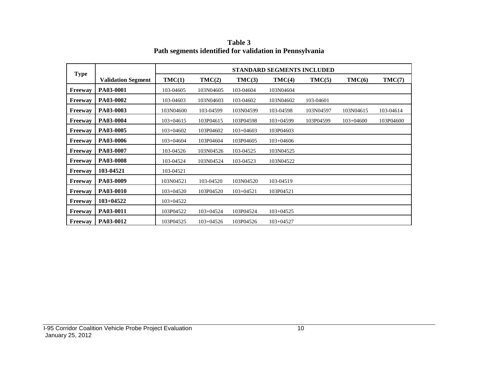|                |                           |               |               |               | STANDARD SEGMENTS INCLUDED |           |             |           |
|----------------|---------------------------|---------------|---------------|---------------|----------------------------|-----------|-------------|-----------|
| <b>Type</b>    | <b>Validation Segment</b> | TMC(1)        | TMC(2)        | TMC(3)        | TMC(4)                     | TMC(5)    | TMC(6)      | TMC(7)    |
| Freeway        | PA03-0001                 | 103-04605     | 103N04605     | 103-04604     | 103N04604                  |           |             |           |
| Freeway        | PA03-0002                 | 103-04603     | 103N04603     | 103-04602     | 103N04602                  | 103-04601 |             |           |
| <b>Freeway</b> | PA03-0003                 | 103N04600     | 103-04599     | 103N04599     | 103-04598                  | 103N04597 | 103N04615   | 103-04614 |
| <b>Freeway</b> | PA03-0004                 | $103 + 04615$ | 103P04615     | 103P04598     | $103+04599$                | 103P04599 | $103+04600$ | 103P04600 |
| <b>Freeway</b> | PA03-0005                 | $103 + 04602$ | 103P04602     | $103 + 04603$ | 103P04603                  |           |             |           |
| <b>Freeway</b> | PA03-0006                 | $103 + 04604$ | 103P04604     | 103P04605     | $103+04606$                |           |             |           |
| <b>Freeway</b> | PA03-0007                 | 103-04526     | 103N04526     | 103-04525     | 103N04525                  |           |             |           |
| <b>Freeway</b> | PA03-0008                 | 103-04524     | 103N04524     | 103-04523     | 103N04522                  |           |             |           |
| <b>Freeway</b> | 103-04521                 | 103-04521     |               |               |                            |           |             |           |
| <b>Freeway</b> | PA03-0009                 | 103N04521     | 103-04520     | 103N04520     | 103-04519                  |           |             |           |
| <b>Freeway</b> | PA03-0010                 | $103 + 04520$ | 103P04520     | $103+04521$   | 103P04521                  |           |             |           |
| <b>Freeway</b> | $103+04522$               | 103+04522     |               |               |                            |           |             |           |
| Freeway        | PA03-0011                 | 103P04522     | $103 + 04524$ | 103P04524     | $103 + 04525$              |           |             |           |
| <b>Freeway</b> | PA03-0012                 | 103P04525     | $103 + 04526$ | 103P04526     | $103 + 04527$              |           |             |           |

**Table 3 Path segments identified for validation in Pennsylvania**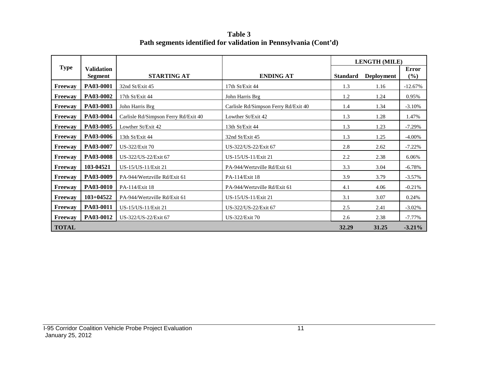**Table 3 Path segments identified for validation in Pennsylvania (Cont'd)**

|                |                              |                                      |                                      |                 | <b>LENGTH (MILE)</b> |                     |
|----------------|------------------------------|--------------------------------------|--------------------------------------|-----------------|----------------------|---------------------|
| <b>Type</b>    | <b>Validation</b><br>Segment | <b>STARTING AT</b>                   | <b>ENDING AT</b>                     | <b>Standard</b> | <b>Deployment</b>    | <b>Error</b><br>(%) |
| Freeway        | PA03-0001                    | 32nd St/Exit 45                      | 17th St/Exit 44                      | 1.3             | 1.16                 | $-12.67%$           |
| Freeway        | PA03-0002                    | 17th St/Exit 44                      | John Harris Brg                      | 1.2             | 1.24                 | 0.95%               |
| Freeway        | PA03-0003                    | John Harris Brg                      | Carlisle Rd/Simpson Ferry Rd/Exit 40 | 1.4             | 1.34                 | $-3.10%$            |
| Freeway        | PA03-0004                    | Carlisle Rd/Simpson Ferry Rd/Exit 40 | Lowther St/Exit 42                   | 1.3             | 1.28                 | 1.47%               |
| Freeway        | PA03-0005                    | Lowther St/Exit 42                   | 13th St/Exit 44                      | 1.3             | 1.23                 | $-7.29%$            |
| Freeway        | PA03-0006                    | 13th St/Exit 44                      | 32nd St/Exit 45                      | 1.3             | 1.25                 | $-4.00\%$           |
| <b>Freeway</b> | PA03-0007                    | <b>US-322/Exit 70</b>                | US-322/US-22/Exit 67                 | 2.8             | 2.62                 | $-7.22%$            |
| <b>Freeway</b> | <b>PA03-0008</b>             | US-322/US-22/Exit 67                 | US-15/US-11/Exit 21                  | 2.2             | 2.38                 | 6.06%               |
| Freeway        | 103-04521                    | US-15/US-11/Exit 21                  | PA-944/Wertzville Rd/Exit 61         | 3.3             | 3.04                 | $-6.78%$            |
| Freeway        | PA03-0009                    | PA-944/Wertzville Rd/Exit 61         | PA-114/Exit 18                       | 3.9             | 3.79                 | $-3.57%$            |
| <b>Freeway</b> | PA03-0010                    | PA-114/Exit 18                       | PA-944/Wertzville Rd/Exit 61         | 4.1             | 4.06                 | $-0.21%$            |
| Freeway        | 103+04522                    | PA-944/Wertzville Rd/Exit 61         | US-15/US-11/Exit 21                  | 3.1             | 3.07                 | 0.24%               |
| Freeway        | PA03-0011                    | US-15/US-11/Exit 21                  | US-322/US-22/Exit 67                 | 2.5             | 2.41                 | $-3.02%$            |
| Freeway        | PA03-0012                    | US-322/US-22/Exit 67                 | <b>US-322/Exit 70</b>                | 2.6             | 2.38                 | $-7.77\%$           |
| <b>TOTAL</b>   |                              |                                      |                                      | 32.29           | 31.25                | $-3.21%$            |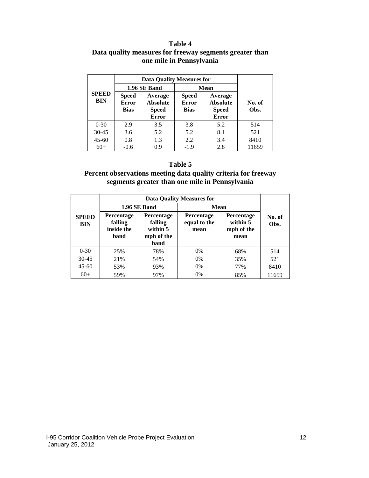#### **Table 4 Data quality measures for freeway segments greater than one mile in Pennsylvania**

|                            |                                             | <b>Data Quality Measures for</b>                           |                                             |                                                            |                |  |  |  |
|----------------------------|---------------------------------------------|------------------------------------------------------------|---------------------------------------------|------------------------------------------------------------|----------------|--|--|--|
|                            |                                             | 1.96 SE Band                                               | <b>Mean</b>                                 |                                                            |                |  |  |  |
| <b>SPEED</b><br><b>BIN</b> | <b>Speed</b><br><b>Error</b><br><b>Bias</b> | Average<br><b>Absolute</b><br><b>Speed</b><br><b>Error</b> | <b>Speed</b><br><b>Error</b><br><b>Bias</b> | Average<br><b>Absolute</b><br><b>Speed</b><br><b>Error</b> | No. of<br>Obs. |  |  |  |
| $0 - 30$                   | 2.9                                         | 3.5                                                        | 3.8                                         | 5.2                                                        | 514            |  |  |  |
| $30 - 45$                  | 3.6                                         | 5.2                                                        | 5.2                                         | 8.1                                                        | 521            |  |  |  |
| $45 - 60$                  | 0.8                                         | 1.3                                                        | 2.2                                         | 3.4                                                        | 8410           |  |  |  |
| $60+$                      | $-0.6$                                      | 0.9                                                        | $-1.9$                                      | 2.8                                                        | 11659          |  |  |  |

#### **Table 5**

#### **Percent observations meeting data quality criteria for freeway segments greater than one mile in Pennsylvania**

|                            |                                                    |                                                         | <b>Data Quality Measures for</b>          |                                                     |                |
|----------------------------|----------------------------------------------------|---------------------------------------------------------|-------------------------------------------|-----------------------------------------------------|----------------|
|                            |                                                    | 1.96 SE Band                                            | Mean                                      |                                                     |                |
| <b>SPEED</b><br><b>BIN</b> | <b>Percentage</b><br>falling<br>inside the<br>band | Percentage<br>falling<br>within 5<br>mph of the<br>band | <b>Percentage</b><br>equal to the<br>mean | <b>Percentage</b><br>within 5<br>mph of the<br>mean | No. of<br>Obs. |
| $0 - 30$                   | 25%                                                | 78%                                                     | $0\%$                                     | 68%                                                 | 514            |
| 30-45                      | 21%                                                | 54%                                                     | 0%                                        | 35%                                                 | 521            |
| $45 - 60$                  | 53%                                                | 93%                                                     | 0%                                        | 77%                                                 | 8410           |
| $60+$                      | 59%                                                | 97%                                                     | 0%                                        | 85%                                                 | 11659          |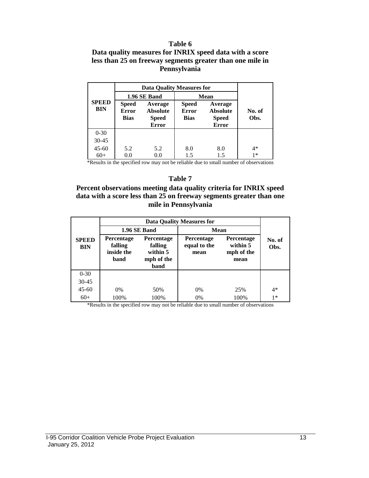#### **Table 6**

#### **Data quality measures for INRIX speed data with a score less than 25 on freeway segments greater than one mile in Pennsylvania**

|                            |                              | <b>Data Quality Measures for</b> |                              |                            |        |
|----------------------------|------------------------------|----------------------------------|------------------------------|----------------------------|--------|
|                            |                              | 1.96 SE Band                     | Mean                         |                            |        |
| <b>SPEED</b><br><b>BIN</b> | <b>Speed</b><br><b>Error</b> | Average<br><b>Absolute</b>       | <b>Speed</b><br><b>Error</b> | Average<br><b>Absolute</b> | No. of |
|                            | <b>Bias</b>                  | <b>Speed</b>                     | <b>Bias</b>                  | <b>Speed</b>               | Obs.   |
|                            |                              | <b>Error</b>                     |                              | <b>Error</b>               |        |
| $0 - 30$                   |                              |                                  |                              |                            |        |
| 30-45                      |                              |                                  |                              |                            |        |
| $45 - 60$                  | 5.2                          | 5.2                              | 8.0                          | 8.0                        | $4*$   |
| $60+$                      | 0.0                          | 0.0                              | 1.5                          | 1.5                        | $1*$   |

\*Results in the specified row may not be reliable due to small number of observations

#### **Table 7**

#### **Percent observations meeting data quality criteria for INRIX speed data with a score less than 25 on freeway segments greater than one mile in Pennsylvania**

|                            |                                                    |                                                         | <b>Data Quality Measures for</b>          |                                                     |                |
|----------------------------|----------------------------------------------------|---------------------------------------------------------|-------------------------------------------|-----------------------------------------------------|----------------|
|                            |                                                    | 1.96 SE Band                                            | <b>Mean</b>                               |                                                     |                |
| <b>SPEED</b><br><b>BIN</b> | <b>Percentage</b><br>falling<br>inside the<br>band | Percentage<br>falling<br>within 5<br>mph of the<br>band | <b>Percentage</b><br>equal to the<br>mean | <b>Percentage</b><br>within 5<br>mph of the<br>mean | No. of<br>Obs. |
| $0 - 30$                   |                                                    |                                                         |                                           |                                                     |                |
| $30 - 45$                  |                                                    |                                                         |                                           |                                                     |                |
| $45 - 60$                  | $0\%$                                              | 50%                                                     | $0\%$                                     | 25%                                                 | $4*$           |
| $60+$                      | 100%                                               | 100%                                                    | 0%                                        | 100%                                                | $1*$           |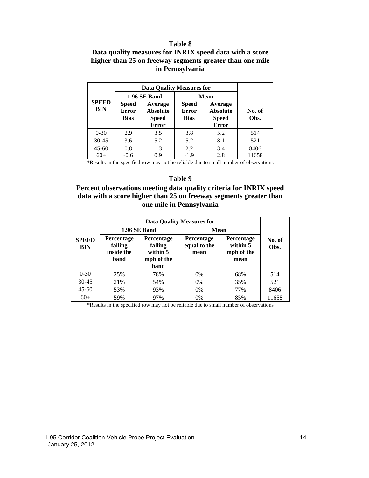#### **Table 8**

#### **Data quality measures for INRIX speed data with a score higher than 25 on freeway segments greater than one mile in Pennsylvania**

|                            | <b>Data Quality Measures for</b>                                                                          |              |                                             |                                                            |                |  |
|----------------------------|-----------------------------------------------------------------------------------------------------------|--------------|---------------------------------------------|------------------------------------------------------------|----------------|--|
|                            |                                                                                                           | 1.96 SE Band | Mean                                        |                                                            |                |  |
| <b>SPEED</b><br><b>BIN</b> | <b>Speed</b><br>Average<br><b>Error</b><br><b>Absolute</b><br><b>Bias</b><br><b>Speed</b><br><b>Error</b> |              | <b>Speed</b><br><b>Error</b><br><b>Bias</b> | Average<br><b>Absolute</b><br><b>Speed</b><br><b>Error</b> | No. of<br>Obs. |  |
| $0 - 30$                   | 2.9                                                                                                       | 3.5          | 3.8                                         | 5.2                                                        | 514            |  |
| $30 - 45$                  | 3.6                                                                                                       | 5.2          | 5.2                                         | 8.1                                                        | 521            |  |
| $45 - 60$                  | 0.8                                                                                                       | 1.3          | 2.2                                         | 3.4                                                        | 8406           |  |
| $60+$                      | $-0.6$                                                                                                    | 0.9          | $-1.9$                                      | 2.8                                                        | 11658          |  |

\*Results in the specified row may not be reliable due to small number of observations

#### **Table 9**

#### **Percent observations meeting data quality criteria for INRIX speed data with a score higher than 25 on freeway segments greater than one mile in Pennsylvania**

|                            |                                                    | 1.96 SE Band                                            | <b>Mean</b>                               |                                                     |                |  |
|----------------------------|----------------------------------------------------|---------------------------------------------------------|-------------------------------------------|-----------------------------------------------------|----------------|--|
| <b>SPEED</b><br><b>BIN</b> | <b>Percentage</b><br>falling<br>inside the<br>band | Percentage<br>falling<br>within 5<br>mph of the<br>band | <b>Percentage</b><br>equal to the<br>mean | <b>Percentage</b><br>within 5<br>mph of the<br>mean | No. of<br>Obs. |  |
| $0 - 30$                   | 25%                                                | 78%                                                     | $0\%$                                     | 68%                                                 | 514            |  |
| $30 - 45$                  | 21%                                                | 54%                                                     | $0\%$                                     | 35%                                                 | 521            |  |
| $45 - 60$                  | 53%                                                | 93%                                                     | $0\%$                                     | 77%                                                 | 8406           |  |
| $60+$                      | 59%                                                | 97%                                                     | 0%                                        | 85%                                                 | 11658          |  |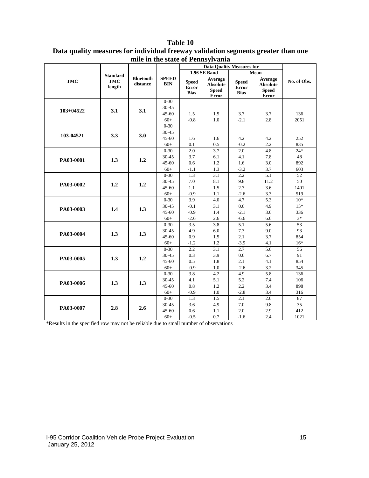#### **Table 10**

|               |                                         |                              |                            | $\sim$ $\sim$ $\sim$ $\sim$ $\sim$ $\sim$ $\sim$<br><b>Data Quality Measures for</b> |                                                            |                                      |                                                     |             |
|---------------|-----------------------------------------|------------------------------|----------------------------|--------------------------------------------------------------------------------------|------------------------------------------------------------|--------------------------------------|-----------------------------------------------------|-------------|
|               |                                         |                              |                            |                                                                                      | 1.96 SE Band                                               |                                      | Mean                                                |             |
| <b>TMC</b>    | <b>Standard</b><br><b>TMC</b><br>length | <b>Bluetooth</b><br>distance | <b>SPEED</b><br><b>BIN</b> | <b>Speed</b><br><b>Error</b><br><b>Bias</b>                                          | Average<br><b>Absolute</b><br><b>Speed</b><br><b>Error</b> | <b>Speed</b><br>Error<br><b>Bias</b> | Average<br><b>Absolute</b><br><b>Speed</b><br>Error | No. of Obs. |
|               |                                         |                              | $0-30$                     |                                                                                      |                                                            |                                      |                                                     |             |
| $103 + 04522$ | 3.1                                     | 3.1                          | 30-45                      |                                                                                      |                                                            |                                      |                                                     |             |
|               |                                         |                              | $45 - 60$                  | 1.5                                                                                  | 1.5                                                        | 3.7                                  | 3.7                                                 | 136         |
|               |                                         |                              | $60+$                      | $-0.8$                                                                               | 1.0                                                        | $-2.1$                               | 2.8                                                 | 2051        |
|               |                                         |                              | $0 - 30$                   |                                                                                      |                                                            |                                      |                                                     |             |
| 103-04521     | 3.3                                     | 3.0                          | $30 - 45$                  |                                                                                      |                                                            |                                      |                                                     |             |
|               |                                         |                              | $45 - 60$                  | 1.6                                                                                  | 1.6                                                        | 4.2                                  | 4.2                                                 | 252         |
|               |                                         |                              | $60+$                      | 0.1                                                                                  | 0.5                                                        | $-0.2$                               | 2.2                                                 | 835         |
|               |                                         |                              | $0 - 30$                   | $\overline{2.0}$                                                                     | 3.7                                                        | 2.0                                  | 4.8                                                 | $24*$       |
| PA03-0001     | 1.3                                     | 1.2                          | 30-45                      | 3.7                                                                                  | 6.1                                                        | 4.1                                  | 7.8                                                 | 48          |
|               |                                         |                              | 45-60                      | 0.6                                                                                  | 1.2                                                        | 1.6                                  | 3.0                                                 | 892         |
|               |                                         |                              | $60+$                      | $-1.1$                                                                               | 1.3                                                        | $-3.2$                               | 3.7                                                 | 603         |
|               |                                         |                              | $0 - 30$                   | 1.3                                                                                  | $\overline{3.1}$                                           | $\overline{2.2}$                     | 5.1                                                 | 52          |
| PA03-0002     | 1.2                                     | 1.2                          | 30-45                      | 7.0                                                                                  | 8.1                                                        | 9.8                                  | 11.2                                                | 50          |
|               |                                         |                              | $45 - 60$                  | 1.1                                                                                  | 1.5                                                        | 2.7                                  | 3.6                                                 | 1401        |
|               |                                         |                              | $60+$                      | $-0.9$                                                                               | 1.1                                                        | $-2.6$                               | 3.3                                                 | 519         |
|               |                                         |                              | $0 - 30$                   | $\overline{3.9}$                                                                     | 4.0                                                        | 4.7                                  | 5.3                                                 | $10*$       |
|               | 1.4                                     | 1.3                          | 30-45                      | $-0.1$                                                                               | 3.1                                                        | 0.6                                  | 4.9                                                 | $15*$       |
| PA03-0003     |                                         |                              | $45 - 60$                  | $-0.9$                                                                               | 1.4                                                        | $-2.1$                               | 3.6                                                 | 336         |
|               |                                         |                              | $60+$                      | $-2.6$                                                                               | 2.6                                                        | $-6.6$                               | 6.6                                                 | $3*$        |
|               |                                         |                              | $0 - 30$                   | 3.5                                                                                  | 3.8                                                        | 5.1                                  | 5.6                                                 | 53          |
| PA03-0004     | 1.3                                     | 1.3                          | 30-45                      | 4.9                                                                                  | 6.0                                                        | 7.3                                  | 9.0                                                 | 93          |
|               |                                         |                              | $45 - 60$                  | 0.9                                                                                  | 1.5                                                        | 2.1                                  | 3.7                                                 | 854         |
|               |                                         |                              | $60+$                      | $-1.2$                                                                               | 1.2                                                        | $-3.9$                               | 4.1                                                 | $16*$       |
|               |                                         |                              | $0 - 30$                   | 2.2                                                                                  | 3.1                                                        | 2.7                                  | 5.6                                                 | 56          |
| PA03-0005     | 1.3                                     | 1.2                          | 30-45                      | 0.3                                                                                  | 3.9                                                        | 0.6                                  | 6.7                                                 | 91          |
|               |                                         |                              | $45 - 60$                  | 0.5                                                                                  | 1.8                                                        | 2.1                                  | 4.1                                                 | 854         |
|               |                                         |                              | $60+$                      | $-0.9$                                                                               | 1.0                                                        | $-2.6$                               | 3.2                                                 | 345         |
|               |                                         |                              | $0 - 30$                   | 3.8                                                                                  | 4.2                                                        | 4.9                                  | 5.8                                                 | 136         |
| PA03-0006     | 1.3                                     | 1.3                          | 30-45                      | 4.1                                                                                  | 5.1                                                        | 5.2                                  | 7.4                                                 | 106         |
|               |                                         |                              | 45-60                      | 0.8                                                                                  | 1.2                                                        | 2.2                                  | 3.4                                                 | 898         |
|               |                                         |                              | $60+$                      | $-0.9$                                                                               | 1.0                                                        | $-2.8$                               | 3.4                                                 | 316         |
|               |                                         |                              | $0 - 30$                   | 1.3                                                                                  | 1.5                                                        | 2.1                                  | 2.6                                                 | 87          |
| PA03-0007     | 2.8                                     | 2.6                          | $30 - 45$                  | 3.6                                                                                  | 4.9                                                        | 7.0                                  | 9.8                                                 | 35          |
|               |                                         |                              | $45 - 60$                  | 0.6                                                                                  | 1.1                                                        | $2.0\,$                              | 2.9                                                 | 412         |
|               |                                         |                              | $60+$                      | $-0.5$                                                                               | 0.7                                                        | $-1.6$                               | 2.4                                                 | 1021        |

### **Data quality measures for individual freeway validation segments greater than one mile in the state of Pennsylvania**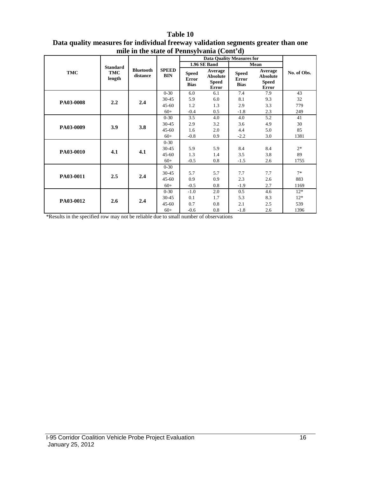|            |                      | fille in the state of Pennsylvania (Contra) |                            |                                             |                                                            |                                             |                                                            |             |
|------------|----------------------|---------------------------------------------|----------------------------|---------------------------------------------|------------------------------------------------------------|---------------------------------------------|------------------------------------------------------------|-------------|
|            |                      |                                             |                            |                                             | <b>Data Quality Measures for</b>                           |                                             |                                                            |             |
|            | <b>Standard</b>      |                                             |                            | 1.96 SE Band                                |                                                            | Mean                                        |                                                            |             |
| <b>TMC</b> | <b>TMC</b><br>length | <b>Bluetooth</b><br>distance                | <b>SPEED</b><br><b>BIN</b> | <b>Speed</b><br><b>Error</b><br><b>Bias</b> | Average<br><b>Absolute</b><br><b>Speed</b><br><b>Error</b> | <b>Speed</b><br><b>Error</b><br><b>Bias</b> | Average<br><b>Absolute</b><br><b>Speed</b><br><b>Error</b> | No. of Obs. |
|            |                      |                                             | $0 - 30$                   | 6.0                                         | 6.1                                                        | 7.4                                         | 7.9                                                        | 43          |
| PA03-0008  | 2.2                  | 2.4                                         | 30-45                      | 5.9                                         | 6.0                                                        | 8.1                                         | 9.3                                                        | 32          |
|            |                      |                                             | $45 - 60$                  | 1.2                                         | 1.3                                                        | 2.9                                         | 3.3                                                        | 779         |
|            |                      |                                             | $60+$                      | $-0.4$                                      | 0.5                                                        | $-1.8$                                      | 2.3                                                        | 249         |
|            |                      |                                             | $0 - 30$                   | 3.5                                         | 4.0                                                        | 4.0                                         | 5.2                                                        | 41          |
| PA03-0009  | 3.9                  | 3.8                                         | 30-45                      | 2.9                                         | 3.2                                                        | 3.6                                         | 4.9                                                        | 30          |
|            |                      |                                             | $45 - 60$                  | 1.6                                         | 2.0                                                        | 4.4                                         | 5.0                                                        | 85          |
|            |                      |                                             | $60+$                      | $-0.8$                                      | 0.9                                                        | $-2.2$                                      | 3.0                                                        | 1381        |
|            | 4.1                  | 4.1                                         | $0 - 30$                   |                                             |                                                            |                                             |                                                            |             |
| PA03-0010  |                      |                                             | 30-45                      | 5.9                                         | 5.9                                                        | 8.4                                         | 8.4                                                        | $2*$        |
|            |                      |                                             | $45 - 60$                  | 1.3                                         | 1.4                                                        | 3.5                                         | 3.8                                                        | 89          |
|            |                      |                                             | $60+$                      | $-0.5$                                      | 0.8                                                        | $-1.5$                                      | 2.6                                                        | 1755        |
|            |                      |                                             | $0 - 30$                   |                                             |                                                            |                                             |                                                            |             |
| PA03-0011  | 2.5                  | 2.4                                         | 30-45                      | 5.7                                         | 5.7                                                        | 7.7                                         | 7.7                                                        | $7*$        |
|            |                      |                                             | $45 - 60$                  | 0.9                                         | 0.9                                                        | 2.3                                         | 2.6                                                        | 883         |
|            |                      |                                             | $60+$                      | $-0.5$                                      | 0.8                                                        | $-1.9$                                      | 2.7                                                        | 1169        |
|            |                      |                                             | $0 - 30$                   | $-1.0$                                      | 2.0                                                        | 0.5                                         | 4.6                                                        | $12*$       |
| PA03-0012  | 2.6                  | 2.4                                         | 30-45                      | 0.1                                         | 1.7                                                        | 5.3                                         | 8.3                                                        | $12*$       |
|            |                      |                                             | $45 - 60$                  | 0.7                                         | 0.8                                                        | 2.1                                         | 2.5                                                        | 539         |
|            |                      |                                             | $60+$                      | $-0.6$                                      | 0.8                                                        | $-1.8$                                      | 2.6                                                        | 1396        |

#### **Table 10 Data quality measures for individual freeway validation segments greater than one mile in the state of Pennsylvania (Cont'd)**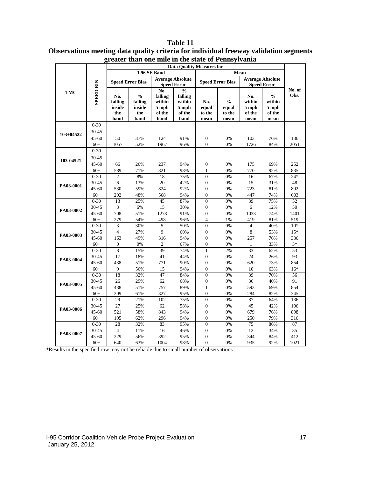|            |                                         | <b>Data Quality Measures for</b>        |                                                   |                                                     |                                                                 |                                  |                                          |                                               |                                                    |                |
|------------|-----------------------------------------|-----------------------------------------|---------------------------------------------------|-----------------------------------------------------|-----------------------------------------------------------------|----------------------------------|------------------------------------------|-----------------------------------------------|----------------------------------------------------|----------------|
|            |                                         | 1.96 SE Band<br>Mean                    |                                                   |                                                     |                                                                 |                                  |                                          |                                               |                                                    |                |
| <b>TMC</b> | <b>SPEED BIN</b>                        | <b>Speed Error Bias</b>                 |                                                   |                                                     | <b>Average Absolute</b><br><b>Speed Error</b>                   |                                  | <b>Speed Error Bias</b>                  | <b>Average Absolute</b><br><b>Speed Error</b> |                                                    |                |
|            |                                         | No.<br>falling<br>inside<br>the<br>band | $\frac{0}{0}$<br>falling<br>inside<br>the<br>band | No.<br>falling<br>within<br>5 mph<br>of the<br>band | $\frac{0}{0}$<br>falling<br>within<br>$5$ mph<br>of the<br>band | No.<br>equal<br>to the<br>mean   | $\frac{0}{0}$<br>equal<br>to the<br>mean | No.<br>within<br>$5$ mph<br>of the<br>mean    | $\frac{0}{0}$<br>within<br>5 mph<br>of the<br>mean | No. of<br>Obs. |
| 103+04522  | $0 - 30$<br>30-45<br>$45 - 60$<br>$60+$ | 50<br>1057                              | 37%<br>52%                                        | 124<br>1967                                         | 91%<br>96%                                                      | $\boldsymbol{0}$<br>$\theta$     | 0%<br>0%                                 | 103<br>1726                                   | 76%<br>84%                                         | 136<br>2051    |
| 103-04521  | $0 - 30$<br>30-45<br>$45 - 60$<br>$60+$ | 66<br>589                               | 26%<br>71%                                        | 237<br>821                                          | 94%<br>98%                                                      | $\boldsymbol{0}$<br>$\mathbf{1}$ | 0%<br>0%                                 | 175<br>770                                    | 69%<br>92%                                         | 252<br>835     |
| PA03-0001  | $0 - 30$                                | $\mathfrak{2}$                          | 8%                                                | 18                                                  | 75%                                                             | $\overline{0}$                   | 0%                                       | 16                                            | 67%                                                | $24*$          |
|            | 30-45                                   | $\sqrt{6}$                              | 13%                                               | 20                                                  | 42%                                                             | $\boldsymbol{0}$                 | 0%                                       | 15                                            | 31%                                                | 48             |
|            | $45 - 60$                               | 530                                     | 59%                                               | 824                                                 | 92%                                                             | $\overline{0}$                   | 0%                                       | 723                                           | 81%                                                | 892            |
|            | $60+$                                   | 292                                     | 48%                                               | 568                                                 | 94%                                                             | $\boldsymbol{0}$                 | 0%                                       | 447                                           | 74%                                                | 603            |
| PA03-0002  | $0 - 30$                                | 13                                      | 25%                                               | 45                                                  | 87%                                                             | $\overline{0}$                   | 0%                                       | 39                                            | 75%                                                | 52             |
|            | 30-45                                   | $\mathfrak{Z}$                          | 6%                                                | 15                                                  | 30%                                                             | $\boldsymbol{0}$                 | 0%                                       | 6                                             | 12%                                                | 50             |
|            | $45 - 60$                               | 708                                     | 51%                                               | 1278                                                | 91%                                                             | $\overline{0}$                   | 0%                                       | 1033                                          | 74%                                                | 1401           |
|            | $60+$                                   | 279                                     | 54%                                               | 498                                                 | 96%                                                             | $\overline{4}$                   | 1%                                       | 419                                           | 81%                                                | 519            |
| PA03-0003  | $0 - 30$                                | 3                                       | 30%                                               | 5                                                   | 50%                                                             | $\overline{0}$                   | 0%                                       | $\overline{4}$                                | 40%                                                | $10*$          |
|            | 30-45                                   | $\overline{4}$                          | 27%                                               | 9                                                   | 60%                                                             | $\boldsymbol{0}$                 | 0%                                       | 8                                             | 53%                                                | $15*$          |
|            | $45 - 60$                               | 163                                     | 49%                                               | 316                                                 | 94%                                                             | $\overline{0}$                   | 0%                                       | 257                                           | 76%                                                | 336            |
|            | $60+$                                   | $\boldsymbol{0}$                        | 0%                                                | 2                                                   | 67%                                                             | $\boldsymbol{0}$                 | 0%                                       | 1                                             | 33%                                                | $3^*$          |
| PA03-0004  | $0 - 30$                                | $\overline{8}$                          | 15%                                               | 39                                                  | 74%                                                             | $\mathbf{1}$                     | 2%                                       | $\overline{33}$                               | 62%                                                | 53             |
|            | 30-45                                   | 17                                      | 18%                                               | 41                                                  | 44%                                                             | $\boldsymbol{0}$                 | 0%                                       | 24                                            | 26%                                                | 93             |
|            | 45-60                                   | 438                                     | 51%                                               | 771                                                 | 90%                                                             | $\boldsymbol{0}$                 | 0%                                       | 620                                           | 73%                                                | 854            |
|            | $60+$                                   | 9                                       | 56%                                               | 15                                                  | 94%                                                             | $\overline{0}$                   | 0%                                       | 10                                            | 63%                                                | $16*$          |
| PA03-0005  | $0 - 30$                                | 18                                      | 32%                                               | 47                                                  | 84%                                                             | $\overline{0}$                   | 0%                                       | 39                                            | 70%                                                | 56             |
|            | 30-45                                   | 26                                      | 29%                                               | 62                                                  | 68%                                                             | $\boldsymbol{0}$                 | 0%                                       | 36                                            | 40%                                                | 91             |
|            | $45 - 60$                               | 438                                     | 51%                                               | 757                                                 | 89%                                                             | $\mathbf{1}$                     | 0%                                       | 593                                           | 69%                                                | 854            |
|            | $60+$                                   | 209                                     | 61%                                               | 327                                                 | 95%                                                             | $\mathbf{0}$                     | 0%                                       | 284                                           | 82%                                                | 345            |
| PA03-0006  | $0 - 30$                                | 29                                      | 21%                                               | 102                                                 | 75%                                                             | $\overline{0}$                   | 0%                                       | 87                                            | 64%                                                | 136            |
|            | 30-45                                   | 27                                      | 25%                                               | 62                                                  | 58%                                                             | $\boldsymbol{0}$                 | 0%                                       | 45                                            | 42%                                                | 106            |
|            | 45-60                                   | 521                                     | 58%                                               | 843                                                 | 94%                                                             | $\boldsymbol{0}$                 | 0%                                       | 679                                           | 76%                                                | 898            |
|            | $60+$                                   | 195                                     | 62%                                               | 296                                                 | 94%                                                             | $\mathbf{0}$                     | 0%                                       | 250                                           | 79%                                                | 316            |
| PA03-0007  | $0 - 30$                                | 28                                      | 32%                                               | 83                                                  | 95%                                                             | $\boldsymbol{0}$                 | 0%                                       | 75                                            | 86%                                                | 87             |
|            | 30-45                                   | $\overline{4}$                          | 11%                                               | 16                                                  | 46%                                                             | $\boldsymbol{0}$                 | 0%                                       | 12                                            | 34%                                                | 35             |
|            | $45 - 60$                               | 229                                     | 56%                                               | 392                                                 | 95%                                                             | $\mathbf{0}$                     | 0%                                       | 344                                           | 84%                                                | 412            |
|            | $60+$                                   | 640                                     | 63%                                               | 1004                                                | 98%                                                             | $\Omega$                         | 0%                                       | 935                                           | 92%                                                | 1021           |

**Table 11 Observations meeting data quality criteria for individual freeway validation segments greater than one mile in the state of Pennsylvania**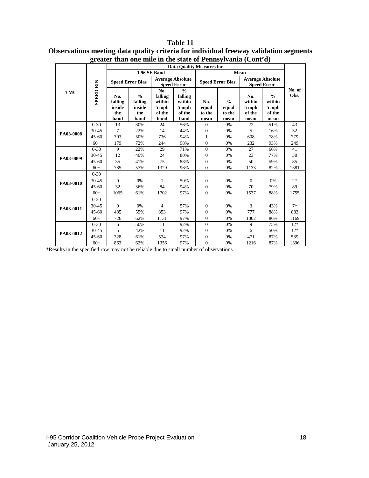|            | లా               | <b>Data Quality Measures for</b>        |                                                   |                                                     |                                                               |                                |                                          |                                               |                                                    |                |  |
|------------|------------------|-----------------------------------------|---------------------------------------------------|-----------------------------------------------------|---------------------------------------------------------------|--------------------------------|------------------------------------------|-----------------------------------------------|----------------------------------------------------|----------------|--|
|            |                  |                                         |                                                   | 1.96 SE Band                                        |                                                               |                                | Mean                                     |                                               |                                                    |                |  |
| <b>TMC</b> |                  | <b>Speed Error Bias</b>                 |                                                   | <b>Average Absolute</b><br><b>Speed Error</b>       |                                                               |                                | <b>Speed Error Bias</b>                  | <b>Average Absolute</b><br><b>Speed Error</b> |                                                    |                |  |
|            | <b>SPEED BIN</b> | No.<br>falling<br>inside<br>the<br>band | $\frac{0}{0}$<br>falling<br>inside<br>the<br>band | No.<br>falling<br>within<br>5 mph<br>of the<br>band | $\frac{0}{0}$<br>falling<br>within<br>5 mph<br>of the<br>band | No.<br>equal<br>to the<br>mean | $\frac{0}{0}$<br>equal<br>to the<br>mean | No.<br>within<br>5 mph<br>of the<br>mean      | $\frac{0}{0}$<br>within<br>5 mph<br>of the<br>mean | No. of<br>Obs. |  |
|            | $0 - 30$         | 13                                      | 30%                                               | 24                                                  | 56%                                                           | $\overline{0}$                 | 0%                                       | 22                                            | 51%                                                | 43             |  |
| PA03-0008  | 30-45            | 7                                       | 22%                                               | 14                                                  | 44%                                                           | $\mathbf{0}$                   | 0%                                       | 5                                             | 16%                                                | 32             |  |
|            | $45 - 60$        | 393                                     | 50%                                               | 736                                                 | 94%                                                           | 1                              | 0%                                       | 608                                           | 78%                                                | 779            |  |
|            | $60+$            | 179                                     | 72%                                               | 244                                                 | 98%                                                           | $\overline{0}$                 | 0%                                       | 232                                           | 93%                                                | 249            |  |
|            | $0 - 30$         | 9                                       | 22%                                               | 29                                                  | 71%                                                           | $\overline{0}$                 | 0%                                       | 27                                            | 66%                                                | 41             |  |
| PA03-0009  | 30-45            | 12                                      | 40%                                               | 24                                                  | 80%                                                           | $\overline{0}$                 | 0%                                       | 23                                            | 77%                                                | 30             |  |
|            | $45 - 60$        | 35                                      | 41%                                               | 75                                                  | 88%                                                           | $\mathbf{0}$                   | 0%                                       | 50                                            | 59%                                                | 85             |  |
|            | $60+$            | 785                                     | 57%                                               | 1329                                                | 96%                                                           | $\overline{0}$                 | 0%                                       | 1133                                          | 82%                                                | 1381           |  |
|            | $0 - 30$         |                                         |                                                   |                                                     |                                                               |                                |                                          |                                               |                                                    |                |  |
| PA03-0010  | 30-45            | $\overline{0}$                          | 0%                                                | 1                                                   | 50%                                                           | $\mathbf{0}$                   | 0%                                       | $\theta$                                      | 0%                                                 | $2*$           |  |
|            | $45 - 60$        | 32                                      | 36%                                               | 84                                                  | 94%                                                           | $\boldsymbol{0}$               | 0%                                       | 70                                            | 79%                                                | 89             |  |
|            | $60+$            | 1065                                    | 61%                                               | 1702                                                | 97%                                                           | $\mathbf{0}$                   | 0%                                       | 1537                                          | 88%                                                | 1755           |  |
|            | $0 - 30$         |                                         |                                                   |                                                     |                                                               |                                |                                          |                                               |                                                    |                |  |
| PA03-0011  | 30-45            | $\Omega$                                | 0%                                                | $\overline{4}$                                      | 57%                                                           | $\mathbf{0}$                   | 0%                                       | 3                                             | 43%                                                | $7*$           |  |
|            | $45 - 60$        | 485                                     | 55%                                               | 853                                                 | 97%                                                           | $\mathbf{0}$                   | 0%                                       | 777                                           | 88%                                                | 883            |  |
|            | $60+$            | 726                                     | 62%                                               | 1131                                                | 97%                                                           | $\overline{0}$                 | 0%                                       | 1002                                          | 86%                                                | 1169           |  |
|            | $0 - 30$         | 6                                       | 50%                                               | 11                                                  | 92%                                                           | $\overline{0}$                 | 0%                                       | 9                                             | 75%                                                | $12*$          |  |
|            | 30-45            | 5                                       | 42%                                               | 11                                                  | 92%                                                           | $\overline{0}$                 | 0%                                       | 6                                             | 50%                                                | $12*$          |  |
| PA03-0012  | $45 - 60$        | 328                                     | 61%                                               | 524                                                 | 97%                                                           | $\mathbf{0}$                   | 0%                                       | 471                                           | 87%                                                | 539            |  |
|            | $60+$            | 863                                     | 62%                                               | 1356                                                | 97%                                                           | $\overline{0}$                 | 0%                                       | 1216                                          | 87%                                                | 1396           |  |

#### **Table 11 Observations meeting data quality criteria for individual freeway validation segments greater than one mile in the state of Pennsylvania (Cont'd)**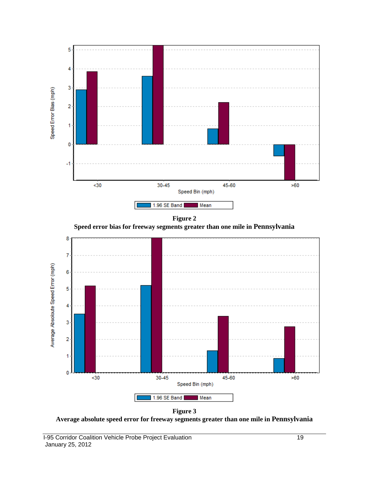



1.96 SE Band Mean

٦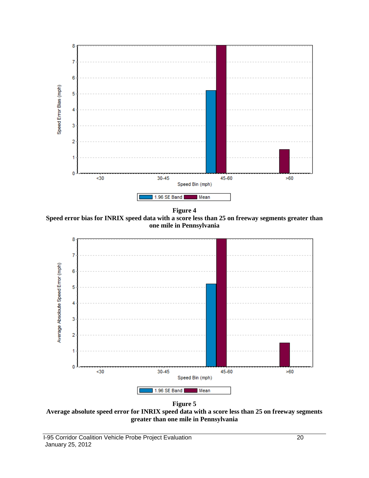

**Figure 4**

**Speed error bias for INRIX speed data with a score less than 25 on freeway segments greater than one mile in Pennsylvania**



**Figure 5**

**Average absolute speed error for INRIX speed data with a score less than 25 on freeway segments greater than one mile in Pennsylvania**